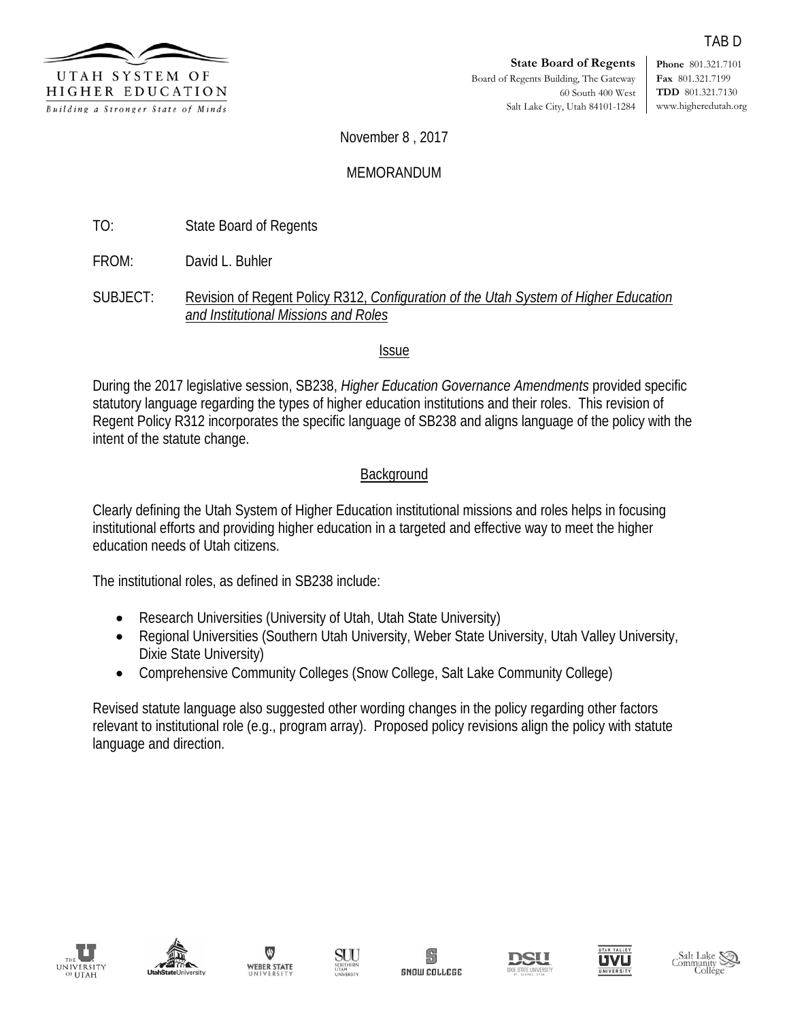

**Phone** 801.321.7101 **Fax** 801.321.7199 **TDD** 801.321.7130 www.higheredutah.org

TAB D

November 8 , 2017

# MEMORANDUM

TO: State Board of Regents

FROM: David L. Buhler

SUBJECT: Revision of Regent Policy R312, *Configuration of the Utah System of Higher Education and Institutional Missions and Roles*

## Issue

During the 2017 legislative session, SB238, *Higher Education Governance Amendments* provided specific statutory language regarding the types of higher education institutions and their roles. This revision of Regent Policy R312 incorporates the specific language of SB238 and aligns language of the policy with the intent of the statute change.

# **Background**

Clearly defining the Utah System of Higher Education institutional missions and roles helps in focusing institutional efforts and providing higher education in a targeted and effective way to meet the higher education needs of Utah citizens.

The institutional roles, as defined in SB238 include:

- Research Universities (University of Utah, Utah State University)
- Regional Universities (Southern Utah University, Weber State University, Utah Valley University, Dixie State University)
- Comprehensive Community Colleges (Snow College, Salt Lake Community College)

Revised statute language also suggested other wording changes in the policy regarding other factors relevant to institutional role (e.g., program array). Proposed policy revisions align the policy with statute language and direction.















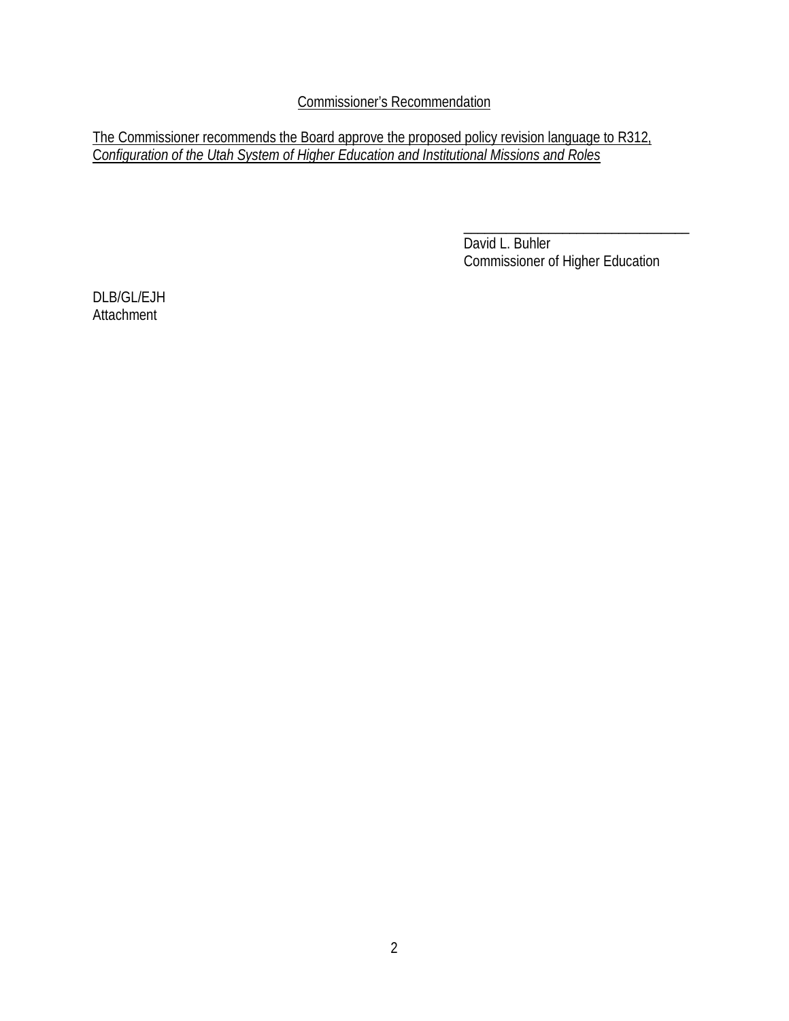Commissioner's Recommendation

The Commissioner recommends the Board approve the proposed policy revision language to R312, C*onfiguration of the Utah System of Higher Education and Institutional Missions and Roles*

> \_\_\_\_\_\_\_\_\_\_\_\_\_\_\_\_\_\_\_\_\_\_\_\_\_\_\_\_\_\_\_\_ David L. Buhler Commissioner of Higher Education

DLB/GL/EJH **Attachment**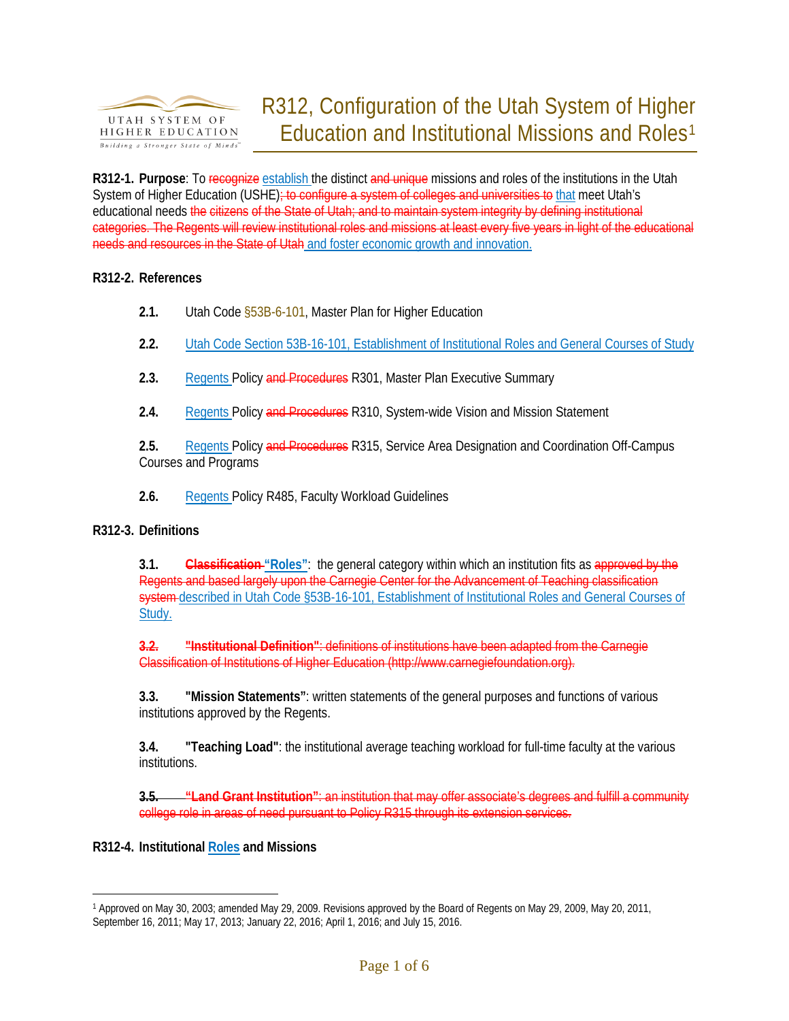

**R312-1. Purpose**: To recognize establish the distinct and unique missions and roles of the institutions in the Utah System of Higher Education (USHE); to configure a system of colleges and universities to that meet Utah's educational needs the citizens of the State of Utah; and to maintain system integrity by defining institutional categories. The Regents will review institutional roles and missions at least every five years in light of the educational needs and resources in the State of Utah and foster economic growth and innovation.

## **R312-2. References**

- **2.1.** Utah Cod[e §53B-6-101,](http://www.le.state.ut.us/%7Ecode/TITLE53B/htm/53B06002.htm) Master Plan for Higher Education
- **2.2.** Utah Code Section 53B-16-101, Establishment of Institutional Roles and General Courses of Study
- **2.3.** Regents Policy and Procedures R301, Master Plan Executive Summary
- **2.4.** Regents Policy and Procedures R310, System-wide Vision and Mission Statement

2.5. Regents Policy and Procedures R315, Service Area Designation and Coordination Off-Campus Courses and Programs

**2.6.** Regents Policy R485, Faculty Workload Guidelines

## **R312-3. Definitions**

**3.1. Classification "Roles"**: the general category within which an institution fits as approved by the Regents and based largely upon the Carnegie Center for the Advancement of Teaching classification system described in Utah Code §53B-16-101, Establishment of Institutional Roles and General Courses of Study.

**3.2. "Institutional Definition"**: definitions of institutions have been adapted from the Carnegie Classification of Institutions of Higher Education [\(http://www.carnegiefoundation.org\)](http://www.carnegiefoundation.org/).

**3.3. "Mission Statements"**: written statements of the general purposes and functions of various institutions approved by the Regents.

**3.4. "Teaching Load"**: the institutional average teaching workload for full-time faculty at the various institutions.

**3.5. "Land Grant Institution"**: an institution that may offer associate's degrees and fulfill a community college role in areas of need pursuant to Policy [R315](http://www.utahsbr.edu/policy/r315.htm) through its extension services.

**R312-4. Institutional Roles and Missions**

 $\overline{a}$ 

<span id="page-2-0"></span><sup>1</sup> Approved on May 30, 2003; amended May 29, 2009. Revisions approved by the Board of Regents on May 29, 2009, May 20, 2011, September 16, 2011; May 17, 2013; January 22, 2016; April 1, 2016; and July 15, 2016.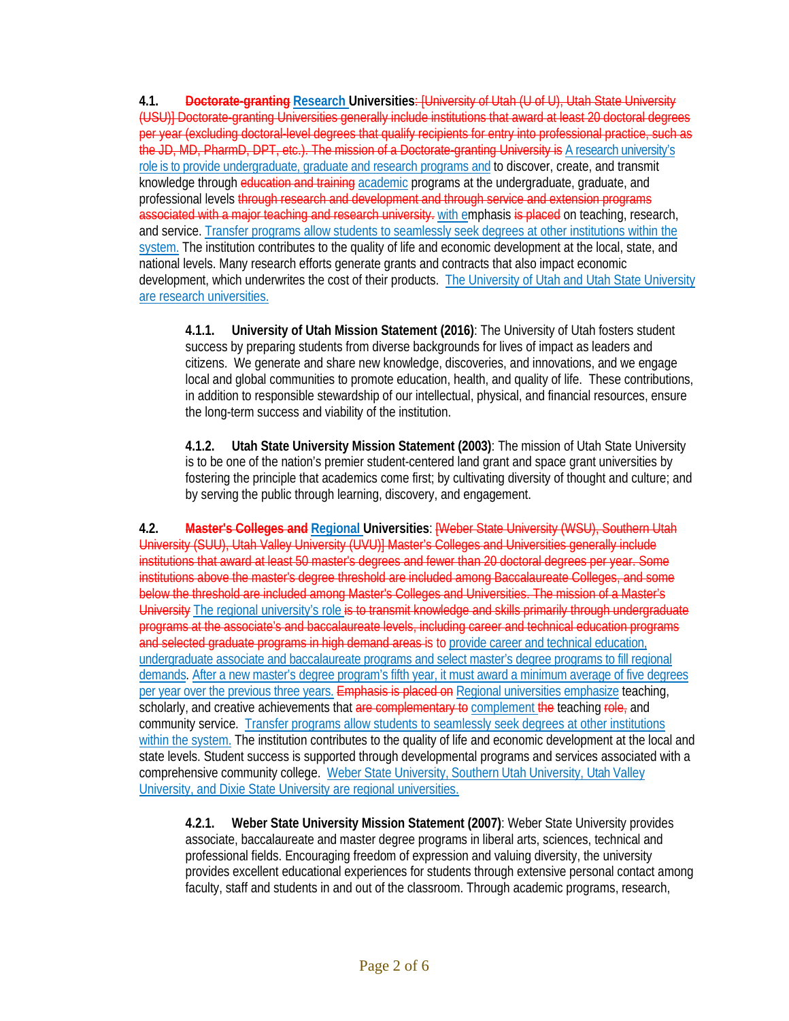**4.1. Doctorate-granting Research Universities**: [University of Utah (U of U), Utah State University (USU)] Doctorate-granting Universities generally include institutions that award at least 20 doctoral degrees per year (excluding doctoral-level degrees that qualify recipients for entry into professional practice, such as the JD, MD, PharmD, DPT, etc.). The mission of a Doctorate-granting University is A research university's role is to provide undergraduate, graduate and research programs and to discover, create, and transmit knowledge through education and training academic programs at the undergraduate, graduate, and professional levels through research and development and through service and extension programs associated with a major teaching and research university. with emphasis is placed on teaching, research, and service. Transfer programs allow students to seamlessly seek degrees at other institutions within the system. The institution contributes to the quality of life and economic development at the local, state, and national levels. Many research efforts generate grants and contracts that also impact economic development, which underwrites the cost of their products. The University of Utah and Utah State University are research universities.

**4.1.1. University of Utah Mission Statement (2016)**: The University of Utah fosters student success by preparing students from diverse backgrounds for lives of impact as leaders and citizens. We generate and share new knowledge, discoveries, and innovations, and we engage local and global communities to promote education, health, and quality of life. These contributions, in addition to responsible stewardship of our intellectual, physical, and financial resources, ensure the long-term success and viability of the institution.

**4.1.2. Utah State University Mission Statement (2003)**: The mission of Utah State University is to be one of the nation's premier student-centered land grant and space grant universities by fostering the principle that academics come first; by cultivating diversity of thought and culture; and by serving the public through learning, discovery, and engagement.

**4.2. Master's Colleges and Regional Universities**: [Weber State University (WSU), Southern Utah University (SUU), Utah Valley University (UVU)] Master's Colleges and Universities generally include institutions that award at least 50 master's degrees and fewer than 20 doctoral degrees per year. Some institutions above the master's degree threshold are included among Baccalaureate Colleges, and some below the threshold are included among Master's Colleges and Universities. The mission of a Master's University The regional university's role is to transmit knowledge and skills primarily through undergraduate programs at the associate's and baccalaureate levels, including career and technical education programs and selected graduate programs in high demand areas is to provide career and technical education, undergraduate associate and baccalaureate programs and select master's degree programs to fill regional demands. After a new master's degree program's fifth year, it must award a minimum average of five degrees per year over the previous three years. Emphasis is placed on Regional universities emphasize teaching, scholarly, and creative achievements that are complementary to complement the teaching role, and community service. Transfer programs allow students to seamlessly seek degrees at other institutions within the system. The institution contributes to the quality of life and economic development at the local and state levels. Student success is supported through developmental programs and services associated with a comprehensive community college. Weber State University, Southern Utah University, Utah Valley University, and Dixie State University are regional universities.

**4.2.1. Weber State University Mission Statement (2007)**: Weber State University provides associate, baccalaureate and master degree programs in liberal arts, sciences, technical and professional fields. Encouraging freedom of expression and valuing diversity, the university provides excellent educational experiences for students through extensive personal contact among faculty, staff and students in and out of the classroom. Through academic programs, research,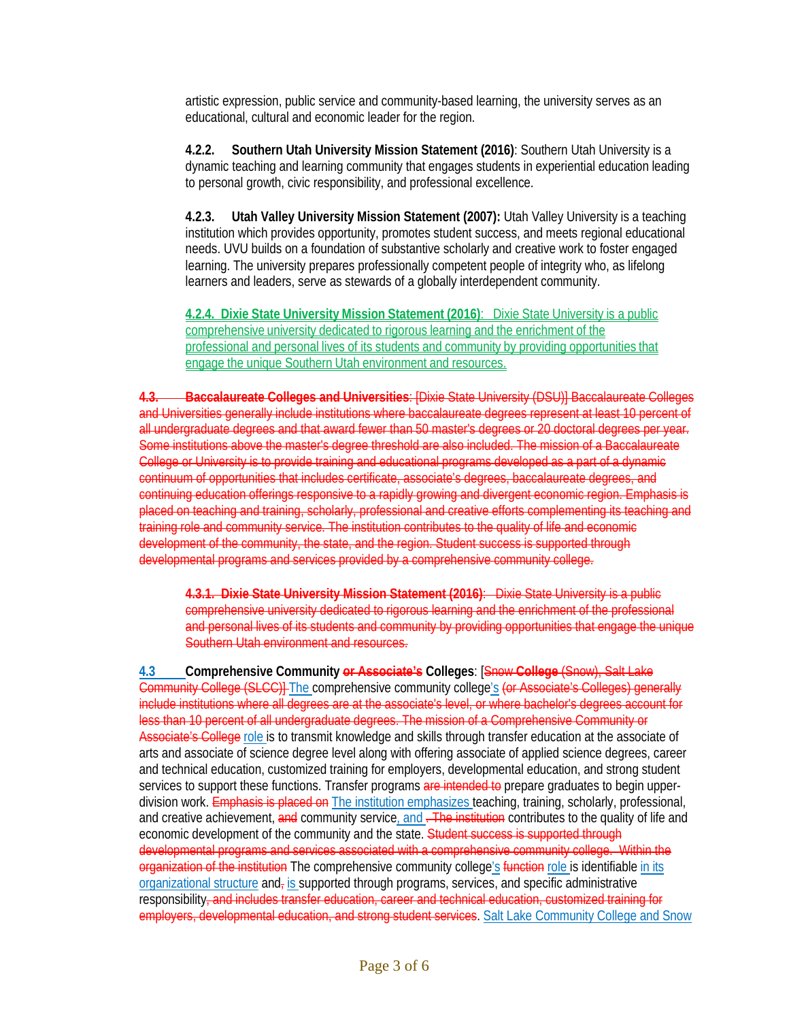artistic expression, public service and community-based learning, the university serves as an educational, cultural and economic leader for the region.

**4.2.2. Southern Utah University Mission Statement (2016)**: Southern Utah University is a dynamic teaching and learning community that engages students in experiential education leading to personal growth, civic responsibility, and professional excellence.

**4.2.3. Utah Valley University Mission Statement (2007):** Utah Valley University is a teaching institution which provides opportunity, promotes student success, and meets regional educational needs. UVU builds on a foundation of substantive scholarly and creative work to foster engaged learning. The university prepares professionally competent people of integrity who, as lifelong learners and leaders, serve as stewards of a globally interdependent community.

**4.2.4. Dixie State University Mission Statement (2016)**: Dixie State University is a public comprehensive university dedicated to rigorous learning and the enrichment of the professional and personal lives of its students and community by providing opportunities that engage the unique Southern Utah environment and resources.

**4.3. Baccalaureate Colleges and Universities**: [Dixie State University (DSU)] Baccalaureate Colleges and Universities generally include institutions where baccalaureate degrees represent at least 10 percent of all undergraduate degrees and that award fewer than 50 master's degrees or 20 doctoral degrees per year. Some institutions above the master's degree threshold are also included. The mission of a Baccalaureate College or University is to provide training and educational programs developed as a part of a dynamic continuum of opportunities that includes certificate, associate's degrees, baccalaureate degrees, and continuing education offerings responsive to a rapidly growing and divergent economic region. Emphasis is placed on teaching and training, scholarly, professional and creative efforts complementing its teaching and training role and community service. The institution contributes to the quality of life and economic development of the community, the state, and the region. Student success is supported through developmental programs and services provided by a comprehensive community college.

**4.3.1. Dixie State University Mission Statement (2016)**: Dixie State University is a public comprehensive university dedicated to rigorous learning and the enrichment of the professional and personal lives of its students and community by providing opportunities that engage the unique Southern Utah environment and resources.

**4.3 Comprehensive Community or Associate's Colleges**: [Snow **College** (Snow), Salt Lake Community College (SLCC)] The comprehensive community college's (or Associate's Colleges) generally include institutions where all degrees are at the associate's level, or where bachelor's degrees account for less than 10 percent of all undergraduate degrees. The mission of a Comprehensive Community or Associate's College role is to transmit knowledge and skills through transfer education at the associate of arts and associate of science degree level along with offering associate of applied science degrees, career and technical education, customized training for employers, developmental education, and strong student services to support these functions. Transfer programs are intended to prepare graduates to begin upperdivision work. Emphasis is placed on The institution emphasizes teaching, training, scholarly, professional, and creative achievement, and community service, and . The institution contributes to the quality of life and economic development of the community and the state. Student success is supported through developmental programs and services associated with a comprehensive community college. Within the organization of the institution The comprehensive community college's function role is identifiable in its organizational structure and<sub>r</sub> is supported through programs, services, and specific administrative responsibility<del>, and includes transfer education, career and technical education, customized training for</del> employers, developmental education, and strong student services. Salt Lake Community College and Snow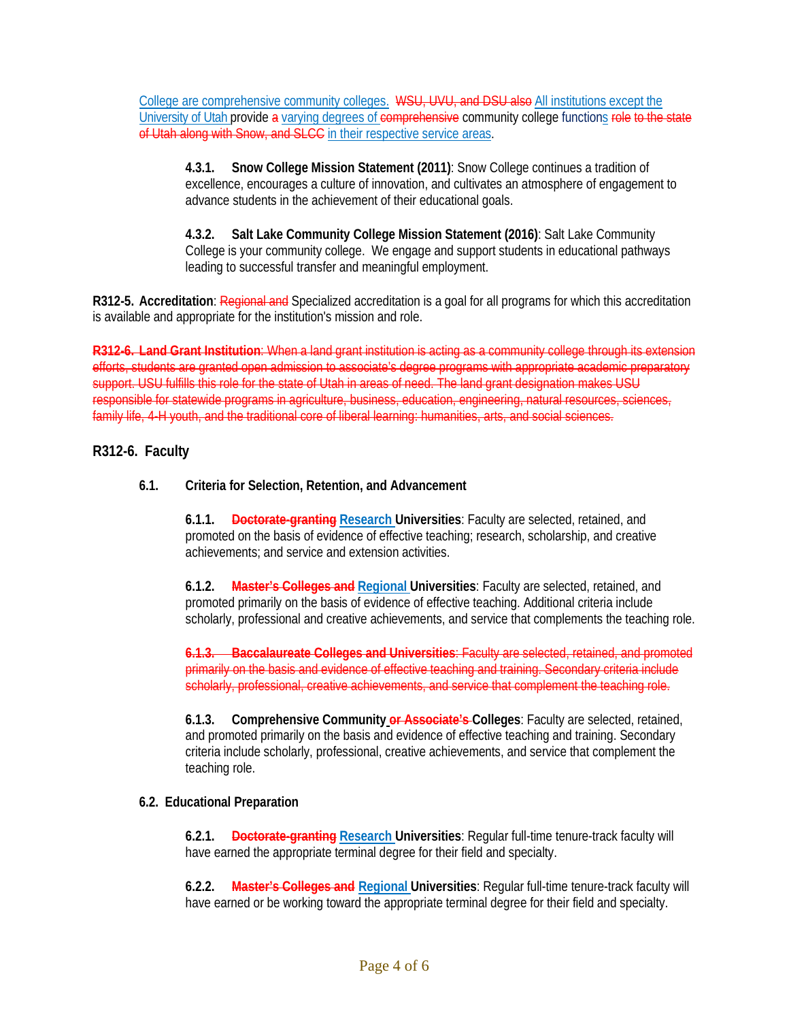College are comprehensive community colleges. WSU, UVU, and DSU also All institutions except the University of Utah provide a varying degrees of comprehensive community college functions role to the state of Utah along with Snow, and SLCC in their respective service areas.

**4.3.1. Snow College Mission Statement (2011)**: Snow College continues a tradition of excellence, encourages a culture of innovation, and cultivates an atmosphere of engagement to advance students in the achievement of their educational goals.

**4.3.2. Salt Lake Community College Mission Statement (2016)**: Salt Lake Community College is your community college. We engage and support students in educational pathways leading to successful transfer and meaningful employment.

**R312-5. Accreditation**: Regional and Specialized accreditation is a goal for all programs for which this accreditation is available and appropriate for the institution's mission and role.

**R312-6. Land Grant Institution**: When a land grant institution is acting as a community college through its extension efforts, students are granted open admission to associate's degree programs with appropriate academic preparatory support. USU fulfills this role for the state of Utah in areas of need. The land grant designation makes USU responsible for statewide programs in agriculture, business, education, engineering, natural resources, sciences, family life, 4-H youth, and the traditional core of liberal learning: humanities, arts, and social sciences.

## **R312-6. Faculty**

### **6.1. Criteria for Selection, Retention, and Advancement**

**6.1.1. Doctorate-granting Research Universities**: Faculty are selected, retained, and promoted on the basis of evidence of effective teaching; research, scholarship, and creative achievements; and service and extension activities.

**6.1.2. Master's Colleges and Regional Universities**: Faculty are selected, retained, and promoted primarily on the basis of evidence of effective teaching. Additional criteria include scholarly, professional and creative achievements, and service that complements the teaching role.

**6.1.3. Baccalaureate Colleges and Universities**: Faculty are selected, retained, and promoted primarily on the basis and evidence of effective teaching and training. Secondary criteria include scholarly, professional, creative achievements, and service that complement the teaching role.

**6.1.3. Comprehensive Community or Associate's Colleges**: Faculty are selected, retained, and promoted primarily on the basis and evidence of effective teaching and training. Secondary criteria include scholarly, professional, creative achievements, and service that complement the teaching role.

### **6.2. Educational Preparation**

**6.2.1. Doctorate-granting Research Universities**: Regular full-time tenure-track faculty will have earned the appropriate terminal degree for their field and specialty.

**6.2.2. Master's Colleges and Regional Universities**: Regular full-time tenure-track faculty will have earned or be working toward the appropriate terminal degree for their field and specialty.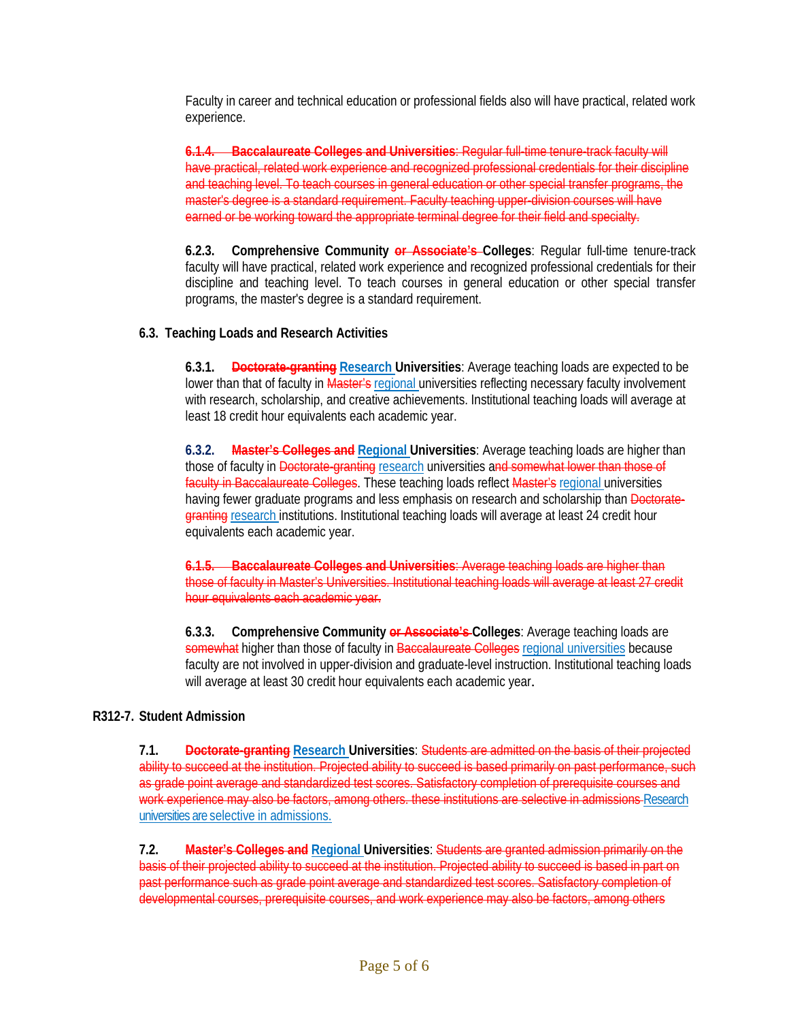Faculty in career and technical education or professional fields also will have practical, related work experience.

**6.1.4. Baccalaureate Colleges and Universities**: Regular full-time tenure-track faculty will have practical, related work experience and recognized professional credentials for their discipline and teaching level. To teach courses in general education or other special transfer programs, the master's degree is a standard requirement. Faculty teaching upper-division courses will have earned or be working toward the appropriate terminal degree for their field and specialty.

**6.2.3. Comprehensive Community or Associate's Colleges**: Regular full-time tenure-track faculty will have practical, related work experience and recognized professional credentials for their discipline and teaching level. To teach courses in general education or other special transfer programs, the master's degree is a standard requirement.

## **6.3. Teaching Loads and Research Activities**

**6.3.1. Doctorate-granting Research Universities**: Average teaching loads are expected to be lower than that of faculty in Master's regional universities reflecting necessary faculty involvement with research, scholarship, and creative achievements. Institutional teaching loads will average at least 18 credit hour equivalents each academic year.

**6.3.2. Master's Colleges and Regional Universities**: Average teaching loads are higher than those of faculty in **Doctorate-granting** research universities and somewhat lower than those of faculty in Baccalaureate Colleges. These teaching loads reflect Master's regional universities having fewer graduate programs and less emphasis on research and scholarship than Doctorategranting research institutions. Institutional teaching loads will average at least 24 credit hour equivalents each academic year.

**6.1.5. Baccalaureate Colleges and Universities**: Average teaching loads are higher than those of faculty in Master's Universities. Institutional teaching loads will average at least 27 credit hour equivalents each academic year.

**6.3.3. Comprehensive Community or Associate's Colleges**: Average teaching loads are somewhat higher than those of faculty in Baccalaureate Colleges regional universities because faculty are not involved in upper-division and graduate-level instruction. Institutional teaching loads will average at least 30 credit hour equivalents each academic year.

## **R312-7. Student Admission**

**7.1. Doctorate-granting Research Universities**: Students are admitted on the basis of their projected ability to succeed at the institution. Projected ability to succeed is based primarily on past performance, such as grade point average and standardized test scores. Satisfactory completion of prerequisite courses and work experience may also be factors, among others. these institutions are selective in admissions Research universities are selective in admissions.

**7.2. Master's Colleges and Regional Universities**: Students are granted admission primarily on the basis of their projected ability to succeed at the institution. Projected ability to succeed is based in part on past performance such as grade point average and standardized test scores. Satisfactory completion of developmental courses, prerequisite courses, and work experience may also be factors, among others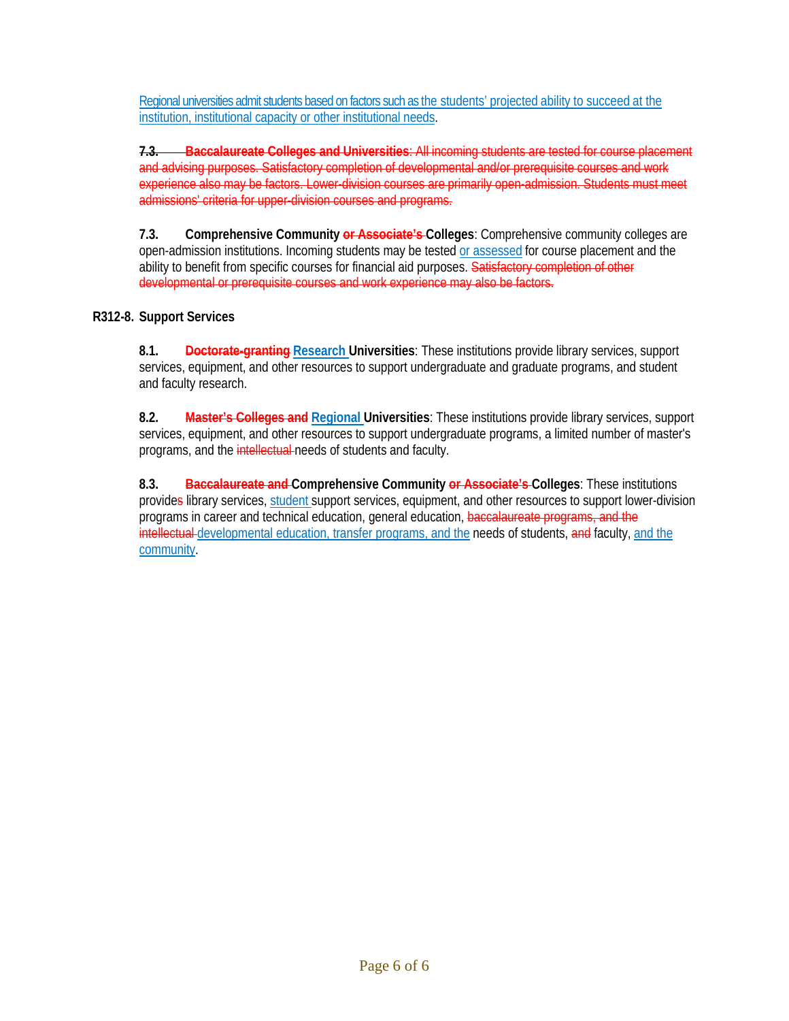Regional universities admit students based on factors such as the students' projected ability to succeed at the institution, institutional capacity or other institutional needs.

**7.3. Baccalaureate Colleges and Universities**: All incoming students are tested for course placement and advising purposes. Satisfactory completion of developmental and/or prerequisite courses and work experience also may be factors. Lower-division courses are primarily open-admission. Students must meet admissions' criteria for upper-division courses and programs.

**7.3. Comprehensive Community or Associate's Colleges**: Comprehensive community colleges are open-admission institutions. Incoming students may be tested or assessed for course placement and the ability to benefit from specific courses for financial aid purposes. Satisfactory completion of other developmental or prerequisite courses and work experience may also be factors.

## **R312-8. Support Services**

**8.1. Doctorate-granting Research Universities**: These institutions provide library services, support services, equipment, and other resources to support undergraduate and graduate programs, and student and faculty research.

**8.2. Master's Colleges and Regional Universities**: These institutions provide library services, support services, equipment, and other resources to support undergraduate programs, a limited number of master's programs, and the intellectual needs of students and faculty.

**8.3. Baccalaureate and Comprehensive Community or Associate's Colleges**: These institutions provides library services, student support services, equipment, and other resources to support lower-division programs in career and technical education, general education, baccalaureate programs, and the intellectual developmental education, transfer programs, and the needs of students, and faculty, and the community.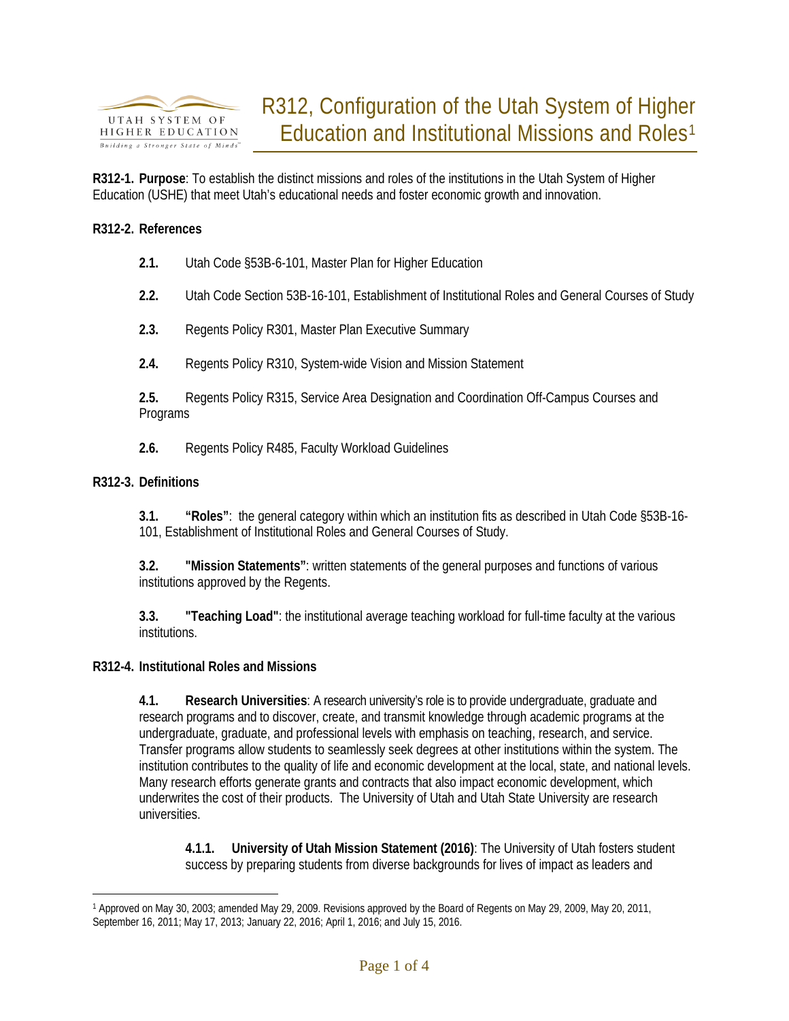

**R312-1. Purpose**: To establish the distinct missions and roles of the institutions in the Utah System of Higher Education (USHE) that meet Utah's educational needs and foster economic growth and innovation.

### **R312-2. References**

- **2.1.** Utah Cod[e §53B-6-101,](http://www.le.state.ut.us/%7Ecode/TITLE53B/htm/53B06002.htm) Master Plan for Higher Education
- **2.2.** Utah Code Section 53B-16-101, Establishment of Institutional Roles and General Courses of Study
- **2.3.** Regents Policy R301, Master Plan Executive Summary
- **2.4.** Regents Policy R310, System-wide Vision and Mission Statement

**2.5.** Regents Policy R315, Service Area Designation and Coordination Off-Campus Courses and Programs

**2.6.** Regents Policy R485, Faculty Workload Guidelines

### **R312-3. Definitions**

 $\overline{a}$ 

**3.1. "Roles"**: the general category within which an institution fits as described in Utah Code §53B-16- 101, Establishment of Institutional Roles and General Courses of Study.

**3.2. "Mission Statements"**: written statements of the general purposes and functions of various institutions approved by the Regents.

**3.3. "Teaching Load"**: the institutional average teaching workload for full-time faculty at the various institutions.

### **R312-4. Institutional Roles and Missions**

**4.1. Research Universities**: A research university's role is to provide undergraduate, graduate and research programs and to discover, create, and transmit knowledge through academic programs at the undergraduate, graduate, and professional levels with emphasis on teaching, research, and service. Transfer programs allow students to seamlessly seek degrees at other institutions within the system. The institution contributes to the quality of life and economic development at the local, state, and national levels. Many research efforts generate grants and contracts that also impact economic development, which underwrites the cost of their products. The University of Utah and Utah State University are research universities.

**4.1.1. University of Utah Mission Statement (2016)**: The University of Utah fosters student success by preparing students from diverse backgrounds for lives of impact as leaders and

<span id="page-8-0"></span><sup>1</sup> Approved on May 30, 2003; amended May 29, 2009. Revisions approved by the Board of Regents on May 29, 2009, May 20, 2011, September 16, 2011; May 17, 2013; January 22, 2016; April 1, 2016; and July 15, 2016.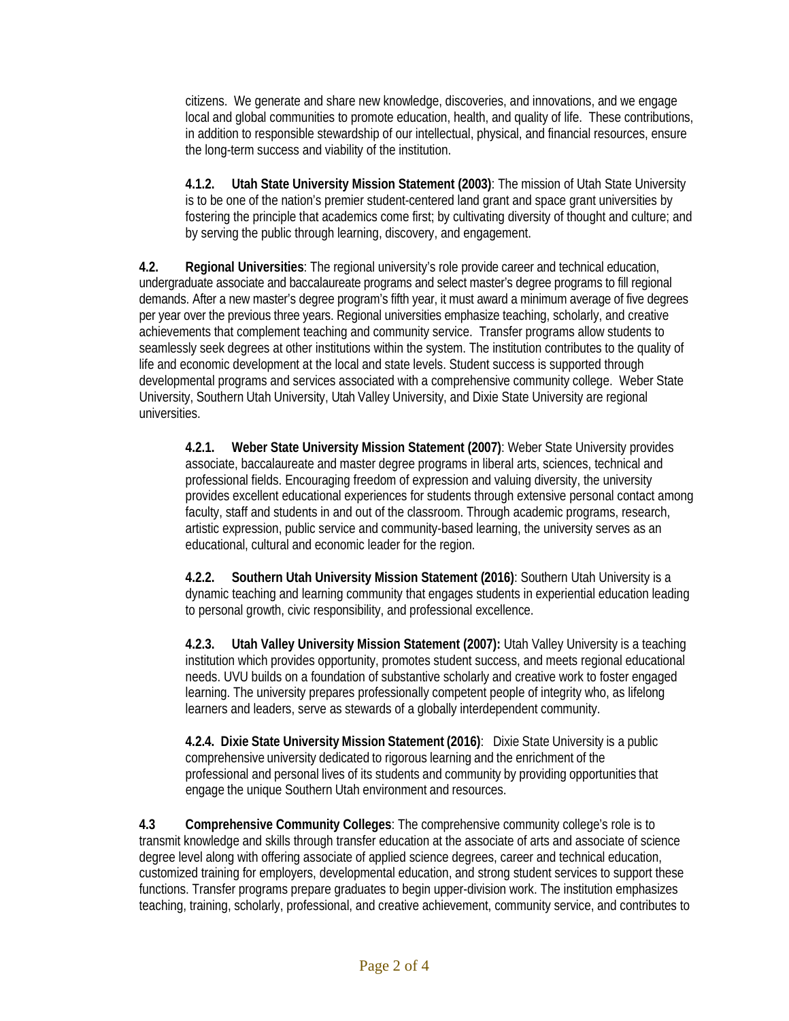citizens. We generate and share new knowledge, discoveries, and innovations, and we engage local and global communities to promote education, health, and quality of life. These contributions, in addition to responsible stewardship of our intellectual, physical, and financial resources, ensure the long-term success and viability of the institution.

**4.1.2. Utah State University Mission Statement (2003)**: The mission of Utah State University is to be one of the nation's premier student-centered land grant and space grant universities by fostering the principle that academics come first; by cultivating diversity of thought and culture; and by serving the public through learning, discovery, and engagement.

**4.2. Regional Universities**: The regional university's role provide career and technical education, undergraduate associate and baccalaureate programs and select master's degree programs to fill regional demands. After a new master's degree program's fifth year, it must award a minimum average of five degrees per year over the previous three years. Regional universities emphasize teaching, scholarly, and creative achievements that complement teaching and community service. Transfer programs allow students to seamlessly seek degrees at other institutions within the system. The institution contributes to the quality of life and economic development at the local and state levels. Student success is supported through developmental programs and services associated with a comprehensive community college. Weber State University, Southern Utah University, Utah Valley University, and Dixie State University are regional universities.

**4.2.1. Weber State University Mission Statement (2007)**: Weber State University provides associate, baccalaureate and master degree programs in liberal arts, sciences, technical and professional fields. Encouraging freedom of expression and valuing diversity, the university provides excellent educational experiences for students through extensive personal contact among faculty, staff and students in and out of the classroom. Through academic programs, research, artistic expression, public service and community-based learning, the university serves as an educational, cultural and economic leader for the region.

**4.2.2. Southern Utah University Mission Statement (2016)**: Southern Utah University is a dynamic teaching and learning community that engages students in experiential education leading to personal growth, civic responsibility, and professional excellence.

**4.2.3. Utah Valley University Mission Statement (2007):** Utah Valley University is a teaching institution which provides opportunity, promotes student success, and meets regional educational needs. UVU builds on a foundation of substantive scholarly and creative work to foster engaged learning. The university prepares professionally competent people of integrity who, as lifelong learners and leaders, serve as stewards of a globally interdependent community.

**4.2.4. Dixie State University Mission Statement (2016)**: Dixie State University is a public comprehensive university dedicated to rigorous learning and the enrichment of the professional and personal lives of its students and community by providing opportunities that engage the unique Southern Utah environment and resources.

**4.3 Comprehensive Community Colleges**: The comprehensive community college's role is to transmit knowledge and skills through transfer education at the associate of arts and associate of science degree level along with offering associate of applied science degrees, career and technical education, customized training for employers, developmental education, and strong student services to support these functions. Transfer programs prepare graduates to begin upper-division work. The institution emphasizes teaching, training, scholarly, professional, and creative achievement, community service, and contributes to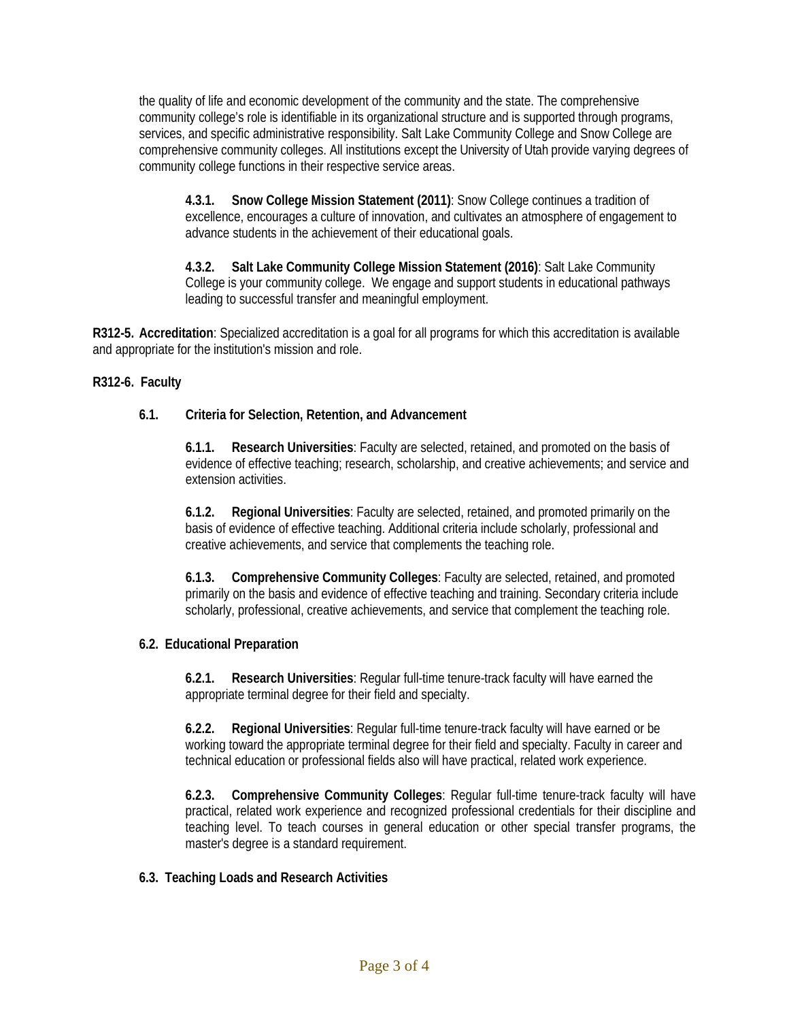the quality of life and economic development of the community and the state. The comprehensive community college's role is identifiable in its organizational structure and is supported through programs, services, and specific administrative responsibility. Salt Lake Community College and Snow College are comprehensive community colleges. All institutions except the University of Utah provide varying degrees of community college functions in their respective service areas.

**4.3.1. Snow College Mission Statement (2011)**: Snow College continues a tradition of excellence, encourages a culture of innovation, and cultivates an atmosphere of engagement to advance students in the achievement of their educational goals.

**4.3.2. Salt Lake Community College Mission Statement (2016)**: Salt Lake Community College is your community college. We engage and support students in educational pathways leading to successful transfer and meaningful employment.

**R312-5. Accreditation**: Specialized accreditation is a goal for all programs for which this accreditation is available and appropriate for the institution's mission and role.

## **R312-6. Faculty**

## **6.1. Criteria for Selection, Retention, and Advancement**

**6.1.1. Research Universities**: Faculty are selected, retained, and promoted on the basis of evidence of effective teaching; research, scholarship, and creative achievements; and service and extension activities.

**6.1.2. Regional Universities**: Faculty are selected, retained, and promoted primarily on the basis of evidence of effective teaching. Additional criteria include scholarly, professional and creative achievements, and service that complements the teaching role.

**6.1.3. Comprehensive Community Colleges**: Faculty are selected, retained, and promoted primarily on the basis and evidence of effective teaching and training. Secondary criteria include scholarly, professional, creative achievements, and service that complement the teaching role.

### **6.2. Educational Preparation**

**6.2.1. Research Universities**: Regular full-time tenure-track faculty will have earned the appropriate terminal degree for their field and specialty.

**6.2.2. Regional Universities**: Regular full-time tenure-track faculty will have earned or be working toward the appropriate terminal degree for their field and specialty. Faculty in career and technical education or professional fields also will have practical, related work experience.

**6.2.3. Comprehensive Community Colleges**: Regular full-time tenure-track faculty will have practical, related work experience and recognized professional credentials for their discipline and teaching level. To teach courses in general education or other special transfer programs, the master's degree is a standard requirement.

### **6.3. Teaching Loads and Research Activities**